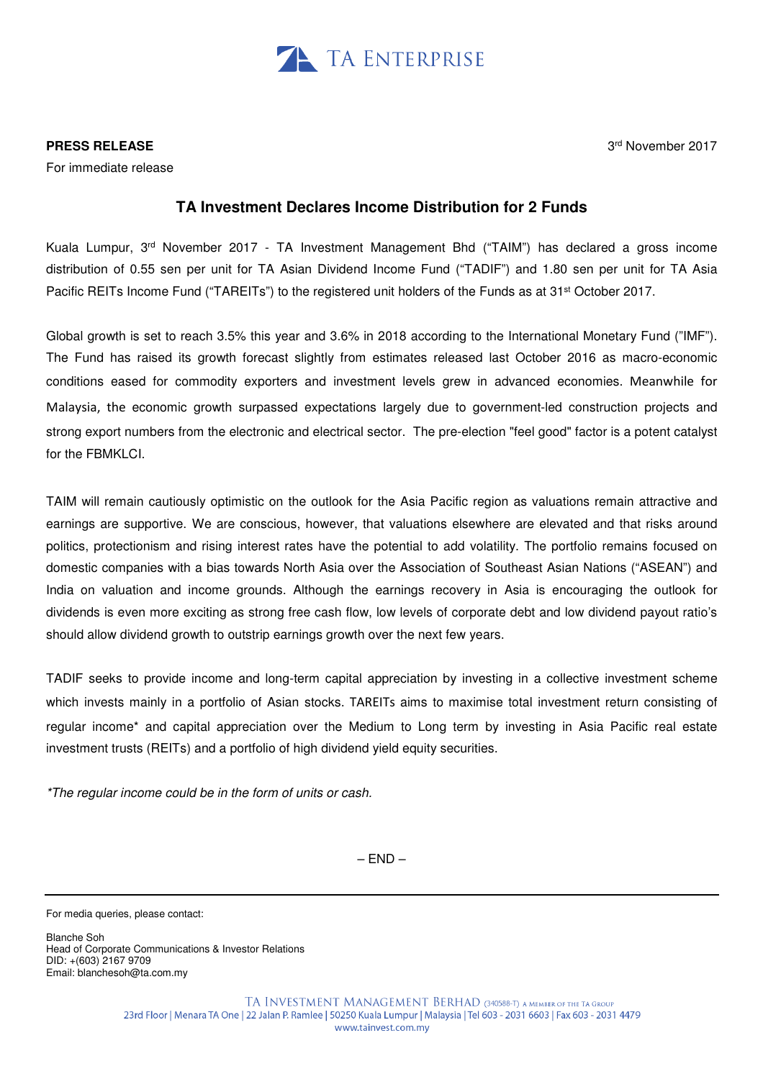

## **PRESS RELEASE**

For immediate release

## 3 rd November 2017

# **TA Investment Declares Income Distribution for 2 Funds**

Kuala Lumpur, 3rd November 2017 - TA Investment Management Bhd ("TAIM") has declared a gross income distribution of 0.55 sen per unit for TA Asian Dividend Income Fund ("TADIF") and 1.80 sen per unit for TA Asia Pacific REITs Income Fund ("TAREITs") to the registered unit holders of the Funds as at 31<sup>st</sup> October 2017.

Global growth is set to reach 3.5% this year and 3.6% in 2018 according to the International Monetary Fund ("IMF"). The Fund has raised its growth forecast slightly from estimates released last October 2016 as macro-economic conditions eased for commodity exporters and investment levels grew in advanced economies. Meanwhile for Malaysia, the economic growth surpassed expectations largely due to government-led construction projects and strong export numbers from the electronic and electrical sector. The pre-election "feel good" factor is a potent catalyst for the FBMKLCI.

TAIM will remain cautiously optimistic on the outlook for the Asia Pacific region as valuations remain attractive and earnings are supportive. We are conscious, however, that valuations elsewhere are elevated and that risks around politics, protectionism and rising interest rates have the potential to add volatility. The portfolio remains focused on domestic companies with a bias towards North Asia over the Association of Southeast Asian Nations ("ASEAN") and India on valuation and income grounds. Although the earnings recovery in Asia is encouraging the outlook for dividends is even more exciting as strong free cash flow, low levels of corporate debt and low dividend payout ratio's should allow dividend growth to outstrip earnings growth over the next few years.

TADIF seeks to provide income and long-term capital appreciation by investing in a collective investment scheme which invests mainly in a portfolio of Asian stocks. TAREITs aims to maximise total investment return consisting of regular income\* and capital appreciation over the Medium to Long term by investing in Asia Pacific real estate investment trusts (REITs) and a portfolio of high dividend yield equity securities.

\*The regular income could be in the form of units or cash.

 $-$  END  $-$ 

For media queries, please contact:

Blanche Soh Head of Corporate Communications & Investor Relations DID: +(603) 2167 9709 Email: blanchesoh@ta.com.my